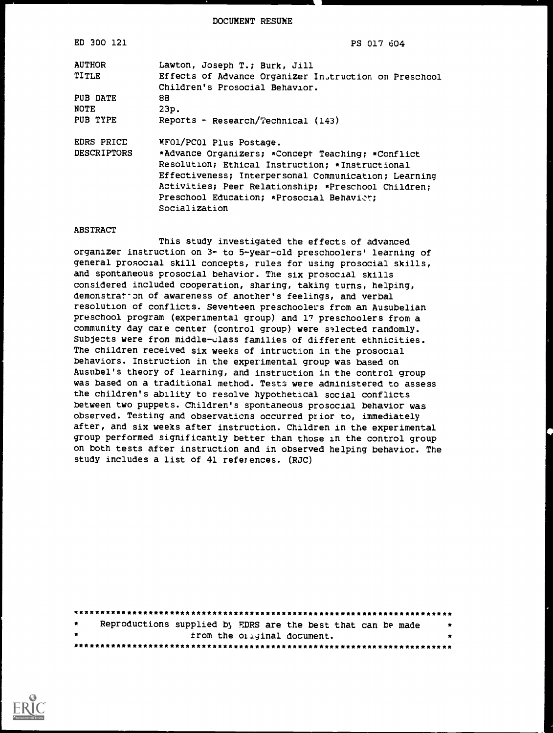DOCUMENT RESUME

| ED 300 121         | PS 017 604                                            |
|--------------------|-------------------------------------------------------|
| <b>AUTHOR</b>      | Lawton, Joseph T.; Burk, Jill                         |
| TITLE              | Effects of Advance Organizer Instruction on Preschool |
|                    | Children's Prosocial Behavior.                        |
| PUB DATE           | 88                                                    |
| NOTE               | 23p.                                                  |
| PUB TYPE           | Reports - Research/Technical $(143)$                  |
| EDRS PRICE         | MFO1/PC01 Plus Postage.                               |
| <b>DESCRIPTORS</b> | *Advance Organizers; *Concept Teaching; *Conflict     |
|                    | Resolution; Ethical Instruction; *Instructional       |
|                    | Effectiveness; Interpersonal Communication; Learning  |
|                    | Activities; Peer Relationship; *Preschool Children;   |
|                    | Preschool Education: *Prosocial Behavier:             |
|                    | Socialization                                         |

#### ABSTRACT

This study investigated the effects of advanced organizer instruction on 3- to 5-year-old preschoolers' learning of general prosocial skill concepts, rules for using prosocial skills, and spontaneous prosocial behavior. The six prosocial skills considered included cooperation, sharing, taking turns, helping, demonstrat on of awareness of another's feelings, and verbal resolution of conflicts. Seventeen preschoolers from an Ausubelian preschool program (experimental group) and 17 preschoolers from a community day care center (control group) were selected randomly. Subjects were from middle-class families of different ethnicities. The children received six weeks of intruction in the prosocial behaviors. Instruction in the experimental group was based on Ausubel's theory of learning, and instruction in the control group was based on a traditional method. Tests were administered to assess the children's ability to resolve hypothetical social conflicts between two puppets. Children's spontaneous prosocial behavior was observed. Testing and observations occurred prior to, immediately after, and six weeks after instruction. Children in the experimental group performed significantly better than those in the control group on both tests after instruction and in observed helping behavior. The study includes a list of 41 references. (RJC)

| $\star$ |  | Reproductions supplied by EDRS are the best that can be made | $\overline{\mathbf{x}}$ |
|---------|--|--------------------------------------------------------------|-------------------------|
| $\cdot$ |  | from the original document.                                  |                         |
|         |  |                                                              |                         |

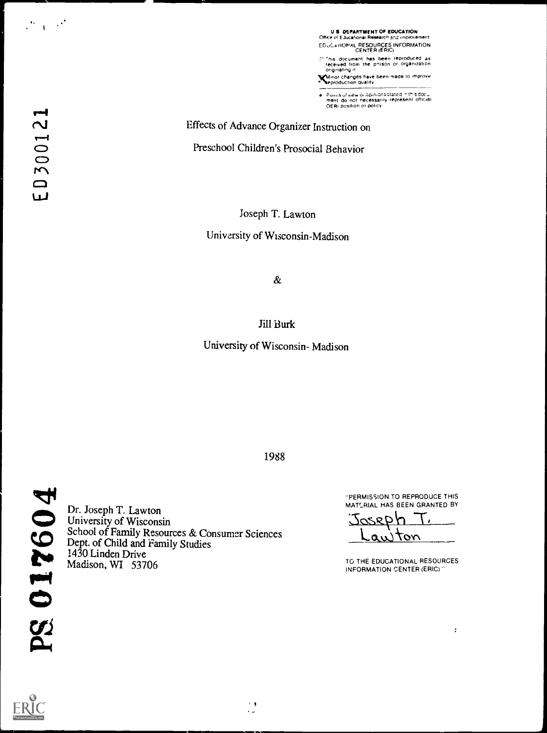U S DEPARTMENT OF EDUCATION<br>Office et Educational Research snd improvement EDUCATIONAL RESOURCES INFORMATION<br>CENTER (ERIC) CENTER (ERIC) 'his document has been reproduced as received from the p'srSOn or organization originating it

Vnor changes have been made ro ,morove eproduction duality

é. Poinis of view oi opinions stated in this docul<br>ment ido, not inecessarily represent official<br>OERI position or policy

Effects of Advance Organizer Instruction on

Preschool Children's Prosocial Behavior

Joseph T. Lawton

University of Wisconsin-Madison

 $\&$ 

Jill Burk

University of Wisconsin- Madison

"PERMISSION TO REPRODUCE THIS MATLRIAL HAS BEEN GRANTED BY

<u>2028</u> ده ب тот

TO THE EDUCATIONAL RESOURCES INFORMATION CENTER (ERIC)

 $\ddot{\cdot}$ 

 $\mathcal{O}(\mathcal{A})$  and

1988

 $\left\langle \cdot \right\rangle$  $\ddot{\phantom{0}}$ 

PS 017604

Dr. Joseph T. Lawton University of Wisconsin School of Family Resources & Consumer Sciences Dept. of Child and Family Studies 1430 Linden Drive Madison, WI 53706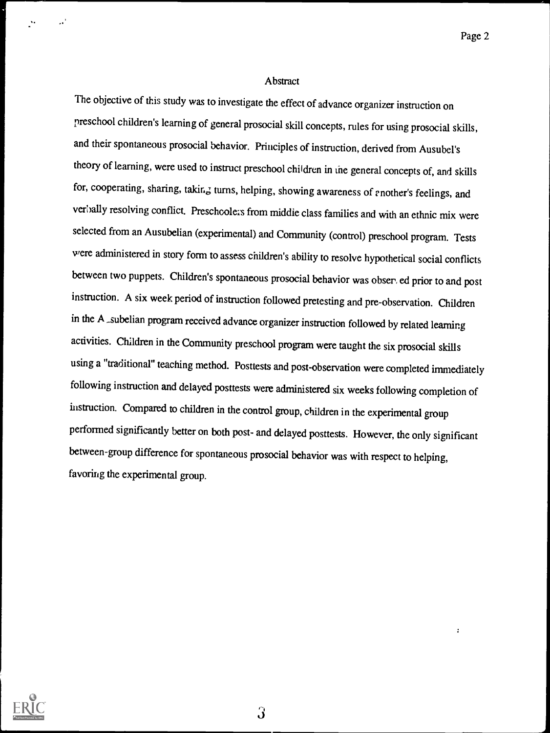#### Abstract

The objective of this study was to investigate the effect of advance organizer instruction on preschool children's learning of general prosocial skill concepts, rules for using prosocial skills, and their spontaneous prosocial behavior. Principles of instruction, derived from Ausubel's theory of learning, were used to instruct preschool children in the general concepts of, and skills for, cooperating, sharing, taking turns, helping, showing awareness of another's feelings, and verbally resolving conflict. Preschcolezs from middie class families and with an ethnic mix were selected from an Ausubelian (experimental) and Community (control) preschool program. Tests were administered in story form to assess children's ability to resolve hypothetical social conflicts between two puppets. Children's spontaneous prosocial behavior was obser, ed prior to and post instruction. A six week period of instruction followed pretesting and pre-observation. Children in the A \_subelian program received advance organizer instruction followed by related learning activities. Children in the Community preschool program were taught the six prosocial skills using a "traditional" teaching method. Posttests and post-observation were completed immediately following instruction and delayed posttests were administered six weeks following completion of instruction. Compared to children in the control group, children in the experimental group performed significantly better on both post- and delayed posttests. However, the only significant between-group difference for spontaneous prosocial behavior was with respect to helping, favoring the experimental group.

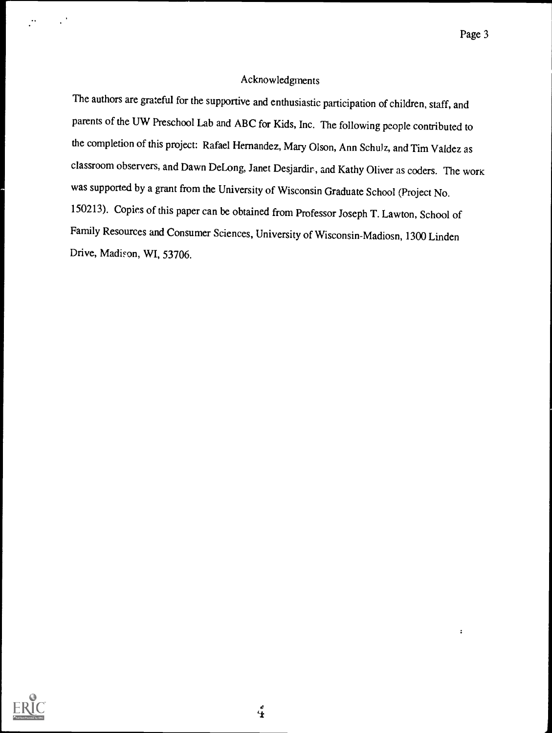#### Acknowledgments

The authors are grateful for the supportive and enthusiastic participation of children, staff, and parents of the UW Preschool Lab and ABC for Kids, Inc. The following people contributed to the completion of this project: Rafael Hernandez, Mary Olson, Ann Schulz, and Tim Valdez as classroom observers, and Dawn DeLong, Janet Desjardir, and Kathy Oliver as coders. The work was supported by a grant from the University of Wisconsin Graduate School (Project No. 150213). Copies of this paper can be obtained from Professor Joseph T. Lawton, School of Family Resources and Consumer Sciences, University of Wisconsin-Madiosn, <sup>1300</sup> Linden Drive, Madison, WI, 53706.



 $\ddot{\bullet}$ 

 $\ddot{\textbf{r}}$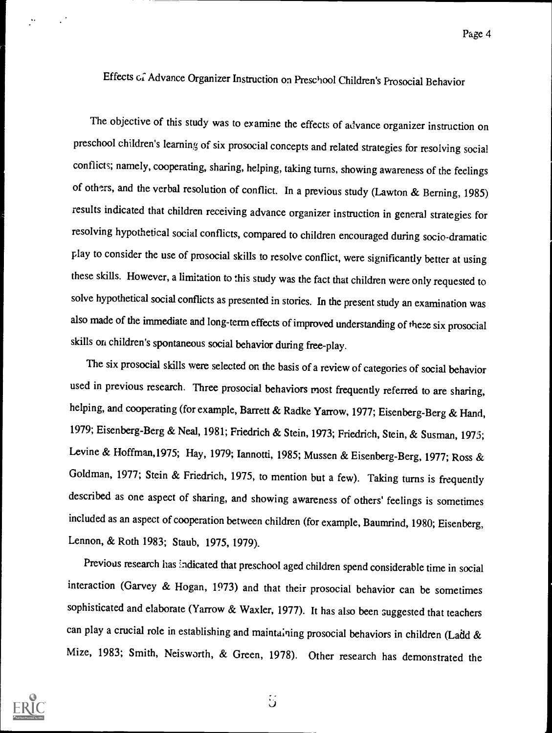## Effects G; Advance Organizer Instruction on Preschool Children's Prosocial Behavior

The objective of this study was to examine the effects of advance organizer instruction on preschool children's learning of six prosocial concepts and related strategies for resolving social conflicts; namely, cooperating, sharing, helping, taking turns, showing awareness of the feelings of others, and the verbal resolution of conflict. In a previous study (Lawton & Berning, 1985) results indicated that children receiving advance organizer instruction in general strategies for resolving hypothetical social conflicts, compared to children encouraged during socio-dramatic play to consider the use of prosocial skills to resolve conflict, were significantly better at using these skills. However, a limitation to this study was the fact that children were only requested to solve hypothetical social conflicts as presented in stories. In the present study an examination was also made of the immediate and long-termeffects of improved understanding of these six prosocial skills on children's spontaneous social behavior during free-play.

The six prosocial skills were selected on the basis of a review of categories of social behavior used in previous research. Three prosocial behaviors most frequently referred to are sharing, helping, and cooperating (for example, Barrett & Radke Yarrow, 1977; Eisenberg-Berg & Hand, 1979; Eisenberg-Berg & Neal, 1981; Friedrich & Stein, 1973; Friedrich, Stein, & Susman, 1975; Levine & Hoffman,1975; Hay, 1979; Iannotti, 1985; Mussen & Eisenberg-Berg, 1977; Ross & Goldman, 1977; Stein & Friedrich, 1975, to mention but a few). Taking turns is frequently described as one aspect of sharing, and showing awareness of others' feelings is sometimes included as an aspect of cooperation between children (for example, Baumrind, 1980; Eisenberg, Lennon, & Roth 1983; Staub, 1975, 1979).

Previous research has indicated that preschool aged children spend considerable time in social interaction (Garvey & Hogan, 1973) and that their prosocial behavior can be sometimes sophisticated and elaborate (Yarrow & Waxier, 1977). It has also been suggested that teachers can play a crucial role in establishing and maintaining prosocial behaviors in children (Ladd  $\&$ Mize, 1983; Smith, Neisworth, & Green, 1978). Other research has demonstrated the

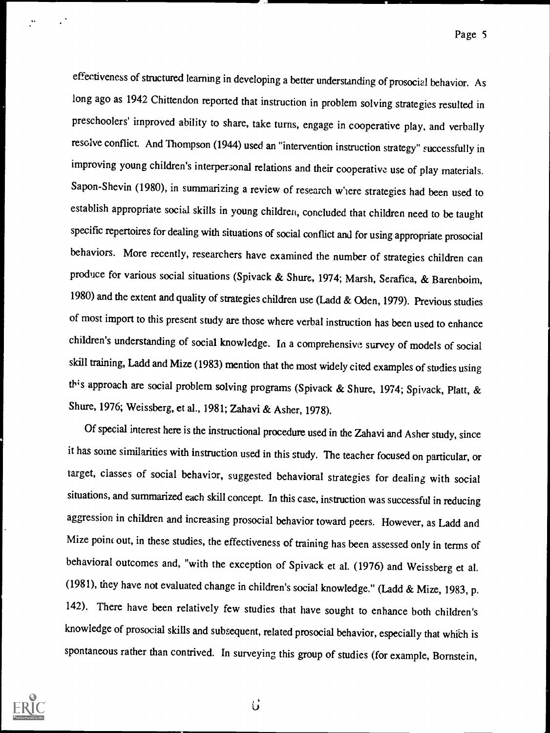effectiveness of structured learning in developing a better understanding of prosocial behavior. As long ago as 1942 Chittendon reported that instruction in problem solving strategies resulted in preschoolers' improved ability to share, take turns, engage in cooperative play, and verbally resolve conflict. And Thompson (1944) used an "intervention instruction strategy" successfully in improving young children's interpersonal relations and their cooperative use of play materials. Sapon-Shevin (1980), in summarizing a review of research where strategies had been used to establish appropriate social skills in young children, concluded that children need to be taught specific repertoires for dealing with situations of social conflict and for using appropriate prosocial behaviors. More recently, researchers have examined the number of strategies children can produce for various social situations (Spivack & Shure, 1974; Marsh, Serafica, & Barenboim, 1980) and the extent and quality of strategies children use (Ladd & Oden, 1979). Previous studies of most import to this present study are those where verbal instruction has been used to enhance children's understanding of social knowledge. In a comprehensive survey of models of social skill training, Ladd and Mize (1983) mention that the most widely cited examples of studies using this approach are social problem solving programs (Spivack & Shure, 1974; Spivack, Platt, & Shure, 1976; Weissberg, et al., 1981; Zahavi & Asher, 1978).

Of special interest here is the instructional procedure used in the Zahavi and Asher study, since it has some similarities with instruction used in this study. The teacher focused on particular, or target, classes of social behavior, suggested behavioral strategies for dealing with social situations, and summarized each skill concept. In this case, instruction was successful in reducing aggression in children and increasing prosocial behavior toward peers. However, as Ladd and Mize point out, in these studies, the effectiveness of training has been assessed only in terms of behavioral outcomes and, "with the exception of Spivack et al. (1976) and Weissberg et al. (1981), they have not evaluated change in children's social knowledge." (Ladd & Mize, 1983, p. 142). There have been relatively few studies that have sought to enhance both children's knowledge of prosocial skills and subsequent, related prosocial behavior, especially that which is spontaneous rather than contrived. In surveying this group of studies (for example, Bornstein,



 $\vec{U}$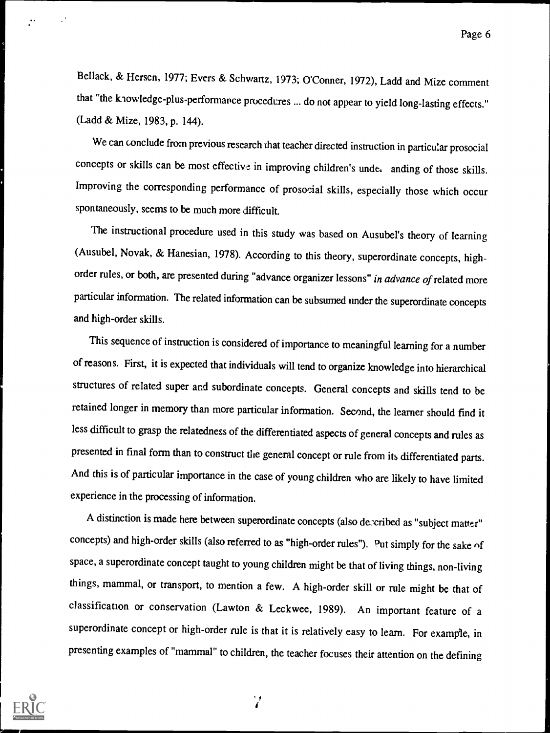Bellack, & Hersen, 1977; Evers & Schwartz, 1973; O'Conner, 1972), Ladd and Mize comment that "the knowledge-plus-performance procedures ... do not appear to yield long-lasting effects." (Ladd & Mize, 1983, p. 144).

We can conclude from previous research that teacher directed instruction in particular prosocial concepts or skills can be most effective in improving children's under anding of those skills. Improving the corresponding performance of prosocial skills, especially those which occur spontaneously, seems to be much more difficult.

The instructional procedure used in this study was based on Ausubel's theory of learning (Ausubel, Novak, & Hanesian, 1978). According to this theory, superordinate concepts, highorder rules, or both, are presented during "advance organizer lessons" in advance of related more particular information. The related information can be subsumed under the superordinate concepts and high-order skills.

This sequence of instruction is considered of importance to meaningful learning for a number of reasons. First, it is expected that individuals will tend to organize knowledge into hierarchical structures of related super and subordinate concepts. General concepts and skills tend to be retained longer in memory than more particular information. Second, the learner should find it less difficult to grasp the relatedness of the differentiated aspects of general concepts and rules as presented in final form than to construct the general concept or rule from its differentiated parts. And this is of particular importance in the case of young children who are likely to have limited experience in the processing of information.

A distinction is made here between superordinate concepts (also decribed as "subject matter" concepts) and high-order skills (also referred to as "high-order rules"). Put simply for the sake of space, a superordinate concept taught to young children might be that of living things, non-living things, mammal, or transport, to mention a few. A high-order skill or rule might be that of classification or conservation (Lawton & Leckwee, 1989). An important feature of <sup>a</sup> superordinate concept or high-order rule is that it is relatively easy to learn. For example, in presenting examples of "mammal" to children, the teacher focuses their attention on the defining



I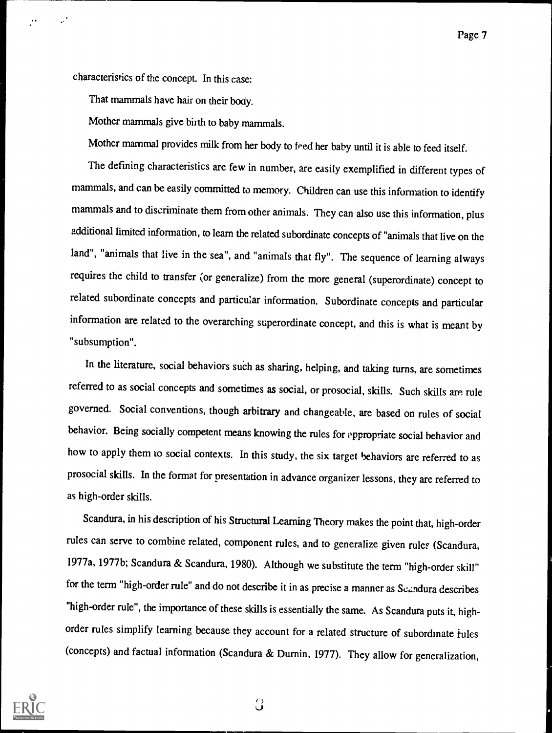Page 7

characteristics of the concept. In this case:

That mammals have hair on their body.

Mother mammals give birth to baby mammals.

Mother mammal provides milk from her body to feed her baby until it is able to feed itself.

The defining characteristics are few in number, are easily exemplified in different types of mammals, and can be easily committed to memory. Children can use this information to identify mammals and to discriminate them from other animals. They can also use this information, plus additional limited information, to learn the related subordinate concepts of "animals that live on the land", "animals that live in the sea", and "animals that fly". The sequence of learning always requires the child to transfer (or generalize) from the more general ( superordinate) concept to related subordinate concepts and particular information. Subordinate concepts and particular information are related to the overarching superordinate concept, and this is what is meant by "subsumption".

In the literature, social behaviors such as sharing, helping, and taking turns, are sometimes referred to as social concepts and sometimes as social, or prosocial, skills. Such skills are rule governed. Social conventions, though arbitrary and changeable, are based on rules of social behavior. Being socially competent means knowing the rules for appropriate social behavior and how to apply them to social contexts. In this study, the six target behaviors are referred to as prosocial skills. In the format for presentation in advance organizer lessons, they are referred to as high-order skills.

Scandura, in his description of his Structural Learning Theory makes the point that, high-order rules can serve to combine related, component rules, and to generalize given rules (Scandura, 1977a, 1977b; Scandura & Scandura, 1980). Although we substitute the term "high-order skill" for the term "high-order rule" and do not describe it in as precise a manner as Scandura describes "high-order rule", the importance of these skills is essentially the same. As Scandura puts it, highorder rules simplify learning because they account for a related structure of subordinate rules (concepts) and factual information (Scandura & Durnin, 1977). They allow for generalization,



 $\bigcirc$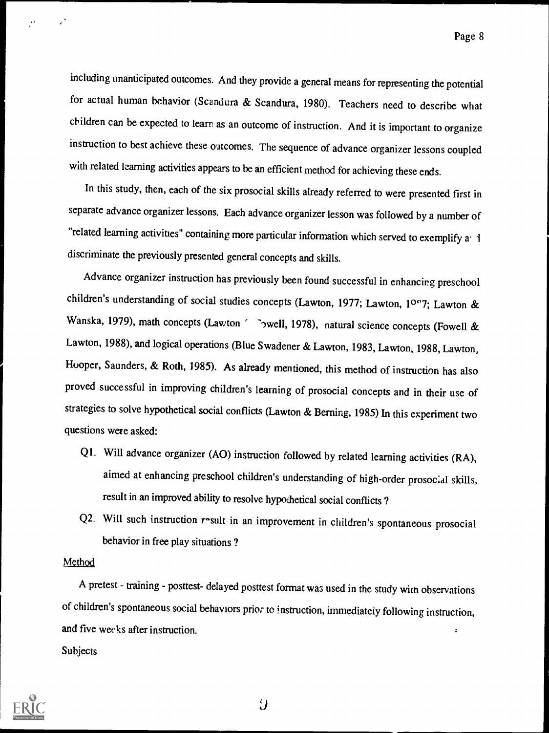including unanticipated outcomes. And they provide a general means for representing the potential for actual human behavior (Scandura & Scandura, 1980). Teachers need to describe what children can be expected to learn as an outcome of instruction. And it is important to organize instruction to best achieve these outcomes. The sequence of advance organizer lessons coupled with related learning activities appears to be an efficient method for achieving these ends.

In this study, then, each of the six prosocial skills already referred to were presented first in separate advance organizer lessons. Each advance organizer lesson was followed by a number of "related learning activities" containing more particular information which served to exemplify a 1 discriminate the previously presented general concepts and skills.

Advance organizer instruction has previously been found successful in enhancirg preschool children's understanding of social studies concepts (Lawton, 1977; Lawton, 10°7; Lawton & Wanska, 1979), math concepts (Lawton ' bwell, 1978), natural science concepts (Fowell & Lawton, 1988), and logical operations (Blue Swadener & Lawton, 1983, Lawton, 1988, Lawton, Hooper, Saunders, & Roth, 1985). As already mentioned, this method of instruction has also proved successful in improving children's learning of prosocial concepts and in their use of strategies to solve hypothetical social conflicts (Lawton & Berning, 1985) In this experiment two questions were asked:

- Ql. Will advance organizer (AO) instruction followed by related learning activities (RA), aimed at enhancing preschool children's understanding of high-order prosocial skills, result in an improved ability to resolve hypothetical social conflicts ?
- Q2. Will such instruction result in an improvement in children's spontaneous prosocial behavior in free play situations ?

#### Method

A pretest - training - posttest- delayed posttest format was used in the study with observations of children's spontaneous social behaviors prior to instruction, immediately following instruction, and five weeks after instruction. Ĩ.

**Subjects** 



 $\overline{U}$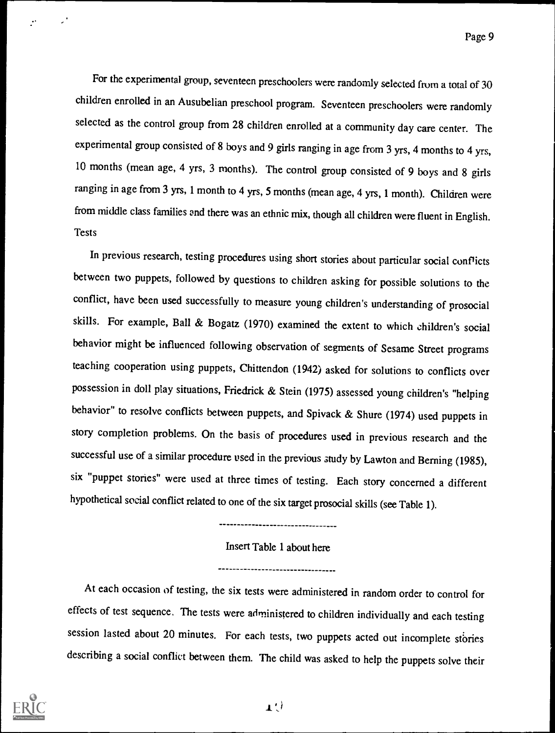For the experimental group, seventeen preschoolers were randomly selected from a total of 30 children enrolled in an Ausubelian preschool program. Seventeen preschoolers were randomly selected as the control group from 28 children enrolled at a community day care center. The experimental group consisted of 8 boys and 9 girls ranging in age from 3 yrs, 4 months to 4 yrs, 10 months (mean age, 4 yrs, 3 months). The control group consisted of 9 boys and 8 girls ranging in age from 3 yrs, 1 month to 4 yrs, 5 months (mean age, 4 yrs, 1 month). Children were from middle class families and there was an ethnic mix, though all children were fluent in English. **Tests** 

In previous research, testing procedures using short stories about particular social conflicts between two puppets, followed by questions to children asking for possible solutions to the conflict, have been used successfully to measure young children's understanding of prosocial skills. For example, Ball & Bogatz (1970) examined the extent to which children's social behavior might be influenced following observation of segments of Sesame Street programs teaching cooperation using puppets, Chittendon (1942) asked for solutions to conflicts over possession in doll play situations, Friedrick & Stein (1975) assessed young children's "helping behavior" to resolve conflicts between puppets, and Spivack & Shure (1974) used puppets in story completion problems. On the basis of procedures used in previous research and the successful use of a similar procedure used in the previous study by Lawton and Berning (1985), six "puppet stories" were used at three times of testing. Each story concerned a different hypothetical social conflict related to one of the six target prosocial skills (see Table 1).

----------------------------------

Insert Table 1 about here

--------------------------------

At each occasion of testing, the six tests were administered in random order to control for effects of test sequence. The tests were administered to children individually and each testing session lasted about 20 minutes. For each tests, two puppets acted out incomplete stories describing a social conflict between them. The child was asked to help the puppets solve their

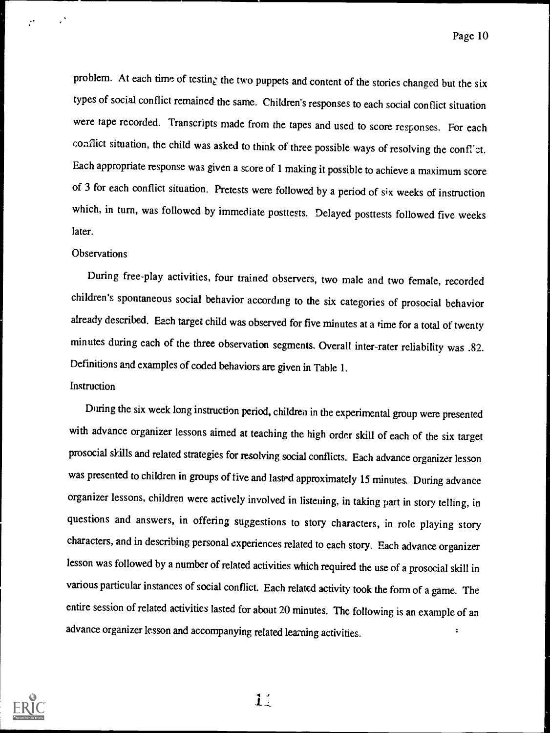Page 10

problem. At each time of testing the two puppets and content of the stories changed but the six types of social conflict remained the same. Children's responses to each social conflict situation were tape recorded. Transcripts made from the tapes and used to score responses. For each conflict situation, the child was asked to think of three possible ways of resolving the conflict. Each appropriate response was given a score of 1 making it possible to achieve a maximum score of 3 for each conflict situation. Pretests were followed by a period of six weeks of instruction which, in turn, was followed by immediate posttests. Delayed posttests followed five weeks later.

#### **Observations**

During free-play activities, four trained observers, two male and two female, recorded children's spontaneous social behavior according to the six categories of prosocial behavior already described. Each target child was observed for five minutes at a time for a total of twenty minutes during each of the three observation segments, Overall inter-rater reliability was .82. Definitions and examples of coded behaviors are given in Table 1.

#### **Instruction**

During the six week long instruction period, children in the experimental group were presented with advance organizer lessons aimed at teaching the high order skill of each of the six target prosocial skills and related strategies for resolving social conflicts. Each advance organizer lesson was presented to children in groups of five and lasted approximately 15 minutes. During advance organizer lessons, children were actively involved in listening, in taking part in story telling, in questions and answers, in offering suggestions to story characters, in role playing story characters, and in describing personal experiences related to each story. Each advance organizer lesson was followed by a number of related activities which required the use of a prosocial skill in various particular instances of social conflict. Each related activity took the form of a game. The entire session of related activities lasted for about 20 minutes. The following is an example of an advance organizer lesson and accompanying related learning activities. Ì.



 $1:$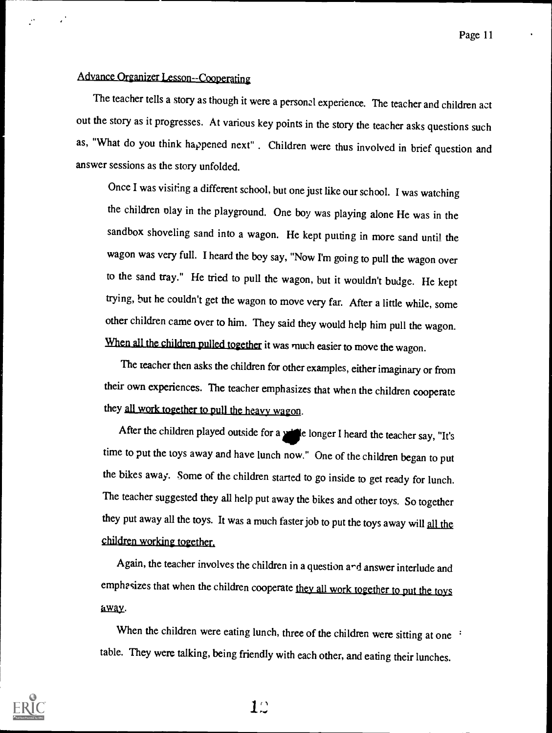### Advance Organizer Lesson--Cooperating

The teacher tells a story as though it were a personal experience. The teacher and children act out the story as it progresses. At various key points in the story the teacher asks questions such as, "What do you think happened next" . Children were thus involved in brief question and answer sessions as the story unfolded.

Once I was visiting a different school, but one just like our school. I was watching the children olay in the playground. One boy was playing alone He was in the sandbox shoveling sand into a wagon. He kept putting in more sand until the wagon was very full. I heard the boy say, "Now I'm going to pull the wagon over to the sand tray." He tried to pull the wagon, but it wouldn't budge. He kept trying, but he couldn't get the wagon to move very far. After a little while, some other children came over to him. They said they would help him pull the wagon. When all the children pulled together it was much easier to move the wagon.

The teacher then asks the children for other examples, either imaginary or from their own experiences. The teacher emphasizes that when the children cooperate they all work together to pull the heavy wagon.

After the children played outside for a **4d**e longer I heard the teacher say, "It's time to put the toys away and have lunch now." One of the children began to put the bikes away. Some of the children started to go inside to get ready for lunch. The teacher suggested they all help put away the bikes and other toys. So together they put away all the toys. It was a much faster job to put the toys away will all the children working together.

Again, the teacher involves the children in a question and answer interlude and emphasizes that when the children cooperate they all work together to put the toys away.

When the children were eating lunch, three of the children were sitting at one : table. They were talking, being friendly with each other, and eating their lunches.



 $1\circ$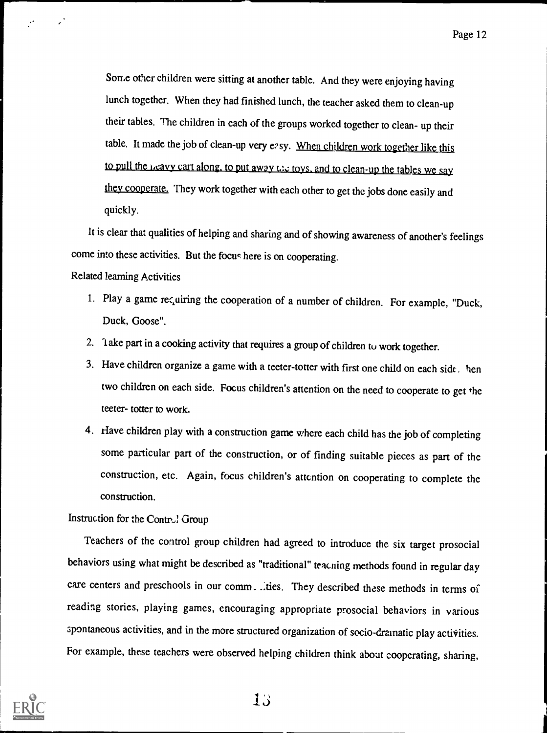Some other children were sitting at another table. And they were enjoying having lunch together. When they had finished lunch, the teacher asked them to clean-up their tables. The children in each of the groups worked together to clean- up their table. It made the job of clean-up very easy. When children work together like this to pull the  $1,$ cavy cart along, to put away  $1.16$  toys, and to clean-up the tables we say they cooperate. They work together with each other to get the jobs done easily and quickly.

It is clear that qualities of helping and sharing and of showing awareness of another's feelings come into these activities. But the focus here is on cooperating.

Related learning Activities

- 1. Play a game recuiring the cooperation of a number of children. For example, "Duck, Duck, Goose".
- 2. lake part in a cooking activity that requires a group of children to work together.
- 3. Have children organize a game with a teeter-totter with first one child on each side, hen two children on each side. Focus children's attention on the need to cooperate to get the teeter- totter to work.
- 4. Have children play with a construction game where each child has the job of completing some particular part of the construction, or of finding suitable pieces as part of the construction, etc. Again, focus children's attention on cooperating to complete the construction.

Instruction for the Control Group

Teachers of the control group children had agreed to introduce the six target prosocial behaviors using what might be described as "traditional" teacning methods found in regular day care centers and preschools in our comm. Lites. They described these methods in terms of reading stories, playing games, encouraging appropriate prosocial behaviors in various spontaneous activities, and in the more structured organization of socio-dramatic play activities. For example, these teachers were observed helping children think about cooperating, sharing,

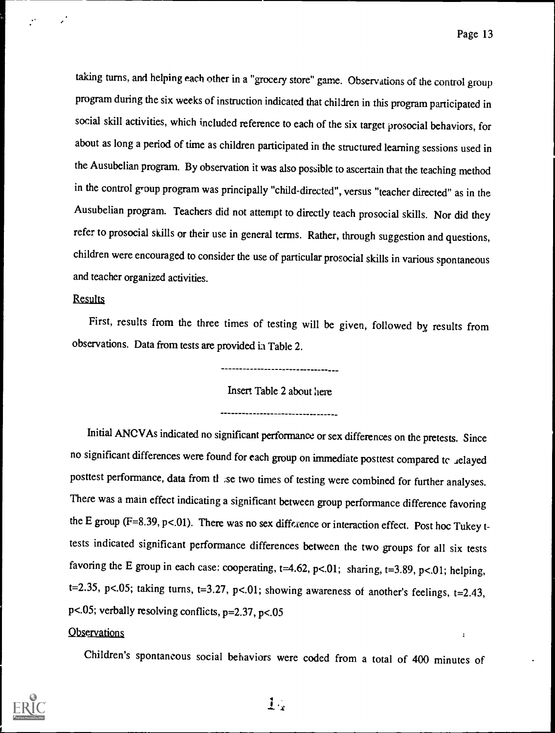$\ddot{\phantom{a}}$ 

taking turns, and helping each other in a "grocery store" game. Observations of the control group program during the six weeks of instruction indicated that children in this program participated in social skill activities, which included reference to each of the six target prosocial behaviors, for about as long a period of time as children participated in the structured learning sessions used in the Ausubelian program. By observation it was also possible to ascertain that the teaching method in the control group program was principally "child-directed", versus "teacher directed" as in the Ausubelian program. Teachers did not attempt to directly teach prosocial skills. Nor did they refer to prosocial skills or their use in general terms. Rather, through suggestion and questions, children were encouraged to consider the use of particular prosocial skills in various spontaneous and teacher organized activities.

#### **Results**

First, results from the three times of testing will be given, followed by results from observations. Data from tests are provided in Table 2.

----------------------------------

Insert Table 2 about here

---------------------------------

Initial ANCVAs indicated no significant performance or sex differences on the pretests. Since no significant differences were found for each group on immediate posttest compared to relayed posttest performance, data from tl se two times of testing were combined for further analyses. There was a main effect indicating a significant between group performance difference favoring the E group (F=8.39, p<.01). There was no sex difference or interaction effect. Post hoc Tukey ttests indicated significant performance differences between the two groups for all six tests favoring the E group in each case: cooperating,  $t=4.62$ ,  $p<.01$ ; sharing,  $t=3.89$ ,  $p<.01$ ; helping, t=2.35, p<.05; taking turns, t=3.27, p<.01; showing awareness of another's feelings, t=2.43, p<.05; verbally resolving conflicts,  $p=2.37$ ,  $p<.05$ 

#### **Observations**

Children's spontaneous social behaviors were coded from a total of 400 minutes of



 $1.$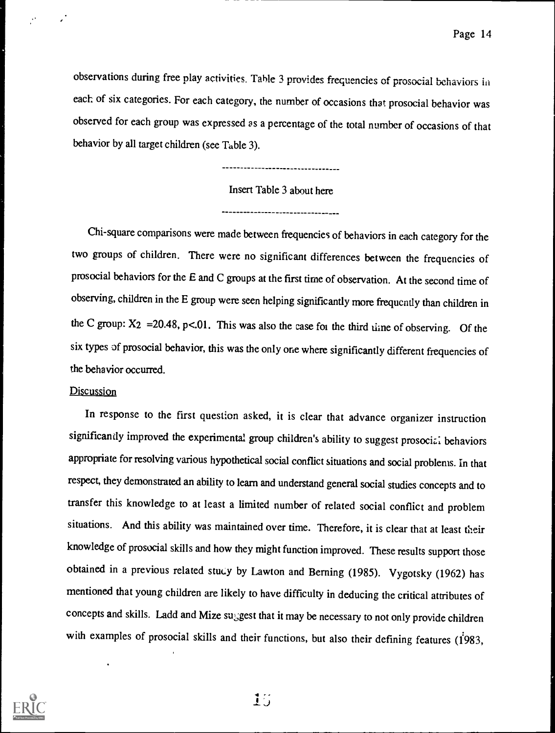observations during free play activities. Table 3 provides frequencies of prosocial behaviors in each of six categories. For each category, the number of occasions that prosocial behavior was observed for each group was expressed as a percentage of the total number of occasions of that behavior by all target children (see Table 3).

----------------------

#### Insert Table 3 about here

Chi-square comparisons were made between frequencies of behaviors in each category for the two groups of children. There were no significant differences between the frequencies of prosocial behaviors for the E and C groups at the first time of observation. At the second time of observing, children in the E group were seen helping significantly more frequently than children in the C group:  $X_2 = 20.48$ , p<.01. This was also the case foi the third time of observing. Of the six types of prosocial behavior, this was the only one where significantly different frequencies of the behavior occurred.

#### **Discussion**

 $\ddot{\phantom{0}}$ 

In response to the first question asked, it is clear that advance organizer instruction significantly improved the experimental group children's ability to suggest prosocizi behaviors appropriate for resolving various hypothetical social conflict situations and social problems. in that respect, they demonstrated an ability to learn and understand general social studies concepts and to transfer this knowledge to at least a limited number of related social conflict and problem situations. And this ability was maintained over time. Therefore, it is clear that at least their knowledge of prosocial skills and how they might function improved. These results support those obtained in a previous related study by Lawton and Berning (1985). Vygotsky (1962) has mentioned that young children are likely to have difficulty in deducing the critical attributes of concepts and skills. Ladd and Mize suggest that it may be necessary to not only provide children with examples of prosocial skills and their functions, but also their defining features (1983,

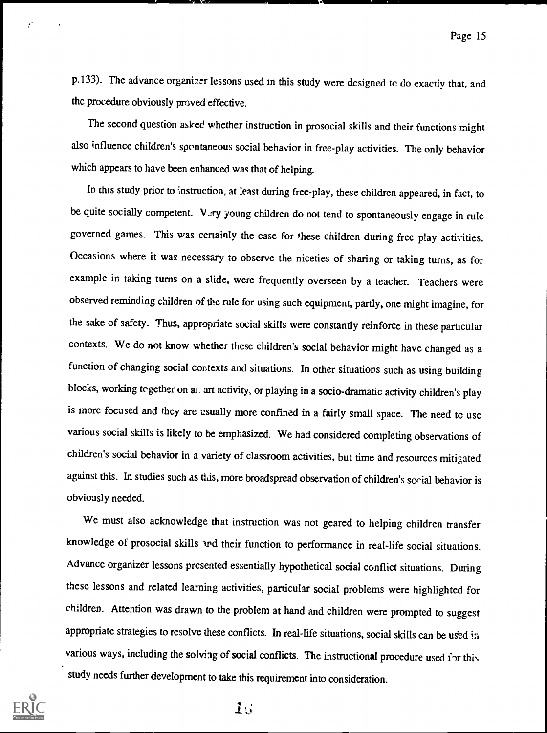p.133). The advance organizer lessons used in this study were designed to do exactly that, and the procedure obviously proved effective.

The second question asked whether instruction in prosocial skills and their functions might also influence children's spontaneous social behavior in free-play activities. The only behavior which appears to have been enhanced was that of helping.

In this study prior to instruction, at least during free-play, these children appeared, in fact, to be quite socially competent. Very young children do not tend to spontaneously engage in rule governed games. This was certainly the case for these children during free play activities. Occasions where it was necessary to observe the niceties of sharing or taking turns, as for example in taking turns on a slide, were frequently overseen by a teacher. Teachers were observed reminding children of the rule for using such equipment, partly, one might imagine, for the sake of safety. Thus, appropriate social skills were constantly reinforce in these particular contexts. We do not know whether these children's social behavior might have changed as a function of changing social contexts and situations. In other situations such as using building blocks, working together on al, art activity, or playing in a socio-dramatic activity children's play is more focused and they are usually more confined in a fairly small space. The need to use various social skills is likely to be emphasized. We had considered completing observations of children's social behavior in a variety of classroom activities, but time and resources mitigated against this. In studies such as this, more broadspread observation of children's social behavior is obviously needed.

We must also acknowledge that instruction was not geared to helping children transfer knowledge of prosocial skills and their function to performance in real-life social situations. Advance organizer lessons presented essentially hypothetical social conflict situations. During these lessons and related learning activities, particular social problems were highlighted for children. Attention was drawn to the problem at hand and children were prompted to suggest appropriate strategies to resolve these conflicts. In real-life situations, social skills can be used in various ways, including the solving of social conflicts. The instructional procedure used for this, study needs further development to take this requirement into consideration.

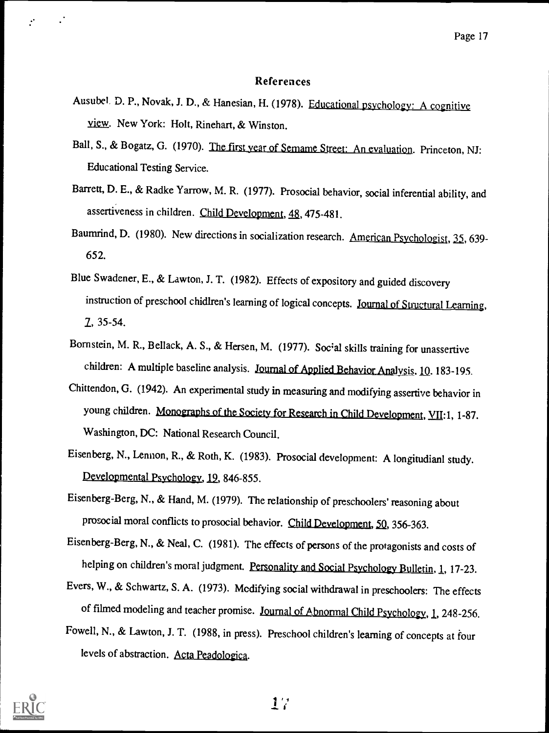#### References

- Ausubel, D. P., Novak, J. D., & Hanesian, H. (1978). Educational psychology: A cognitive view. New York: Holt, Rinehart, & Winston.
- Ball, S., & Bogatz, G. (1970). The first year of Semame Street: An evaluation. Princeton, NJ: Educational Testing Service.
- Barrett, D. E., & Radke Yarrow, M. R. (1977). Prosocial behavior, social inferential ability, and assertiveness in children. Child Development, 48, 475-481.
- Baumrind, D. (1980). New directions in socialization research. American Psychologist, 35, 639-652.
- Blue Swadener, E., & Lawton, J. T. (1982). Effects of expository and guided discovery instruction of preschool chidlren's learning of logical concepts. Journal of Structural Learning, 2, 35-54.
- Bornstein, M. R., Bellack, A. S., & Hersen, M. (1977). Social skills training for unassertive children: A multiple baseline analysis. Journal of Applied Behavior Analysis. 10. 183-195.
- Chittendon, G. (1942). An experimental study in measuring and modifying assertive behavior in young children. Monographs of the Society for Research in Child Development, YII:1, 1-87. Washington, DC: National Research Council.
- Eisenberg, N., Lennon, R., & Roth, K. (1983). Prosocial development: A longitudianl study. Developmental Psychology, 19, 846-855.
- Eisenberg-Berg, N., & Hand, M. (1979). The relationship of preschoolers' reasoning about prosocial moral conflicts to prosocial behavior. Child Development, 50, 356-363.
- Eisenberg-Berg, N., & Neal, C. (1981). The effects of persons of the protagonists and costs of helping on children's moral judgment. Personality and Social Psychology Bulletin, 1, 17-23.
- Evers, W., & Schwartz, S. A. (1973). Modifying social withdrawal in preschoolers: The effects of filmed modeling and teacher promise. Journal of Abnormal Child Psychology, 1, 248-256.
- Fowell, N., & Lawton, J. T. (1988, in press). Preschool children's learning of concepts at four levels of abstraction. Acta Peadologica.

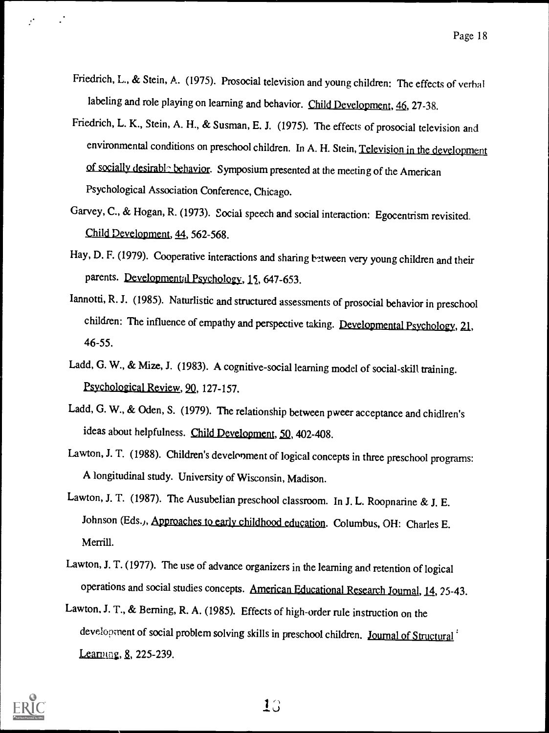- Friedrich, L., & Stein, A. (1975). Prosocial television and young children: The effects of verbal labeling and role playing on learning and behavior. Child Development, 46, 27-38.
- Friedrich, L. K., Stein, A. H., & Susman, E. J. (1975). The effects of prosocial television and environmental conditions on preschool children. In A. H. Stein, Television in the development of socially desirable behavior. Symposium presented at the meeting of the American Psychological Association Conference, Chicago.
- Garvey, C., & Hogan, R. (1973). Social speech and social interaction: Egocentrism revisited. Child Development, 44, 562-568.
- Hay, D. F. (1979). Cooperative interactions and sharing between very young children and their parents. Developmental Psychology, 15, 647-653.
- Iannotti, R. J. (1985). Naturlistic and structured assessments of prosocial behavior in preschool children: The influence of empathy and perspective taking. Developmental Psychology, 21, 46-55.
- Ladd, G. W., & Mize, J. (1983). A cognitive-social learning model of social-skill training. Psychological Review, 90, 127-157.
- Ladd, G. W., & Oden, S. (1979). The relationship between pweer acceptance and chidlren's ideas about helpfulness. Child Development, 50, 402-408.
- Lawton, J. T. (1988). Children's development of logical concepts in three preschool programs: A longitudinal study. University of Wisconsin, Madison.
- Lawton, J. T. (1987). The Ausubelian preschool classroom. In J. L. Roopnarine & J. E. Johnson (Eds.), Approaches to early childhood education. Columbus, OH: Charles E. Merrill.
- Lawton, J. T. (1977). The use of advance organizers in the learning and retention of logical operations and social studies concepts. American Educational Research Journal, 14, 25-43.
- Lawton, J. T., & Berning, R. A. (1985). Effects of high-order rule instruction on the development of social problem solving skills in preschool children. Journal of Structural<sup>:</sup>  $Learning, 8, 225-239.$

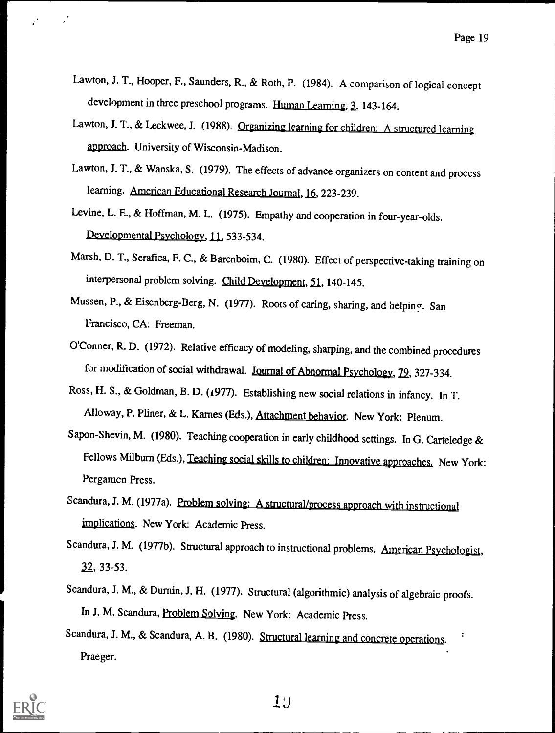- Lawton, J. T., Hooper, F., Saunders, R., & Roth, P. (1984). A comparison of logical concept development in three preschool programs. Human Learning, 2. 143-164.
- Lawton, J. T., & Leckwee, J. (1988). Organizing learning for children: A structured learning approach. University of Wisconsin-Madison.
- Lawton, J. T., & Wanska, S. (1979). The effects of advance organizers on content and process learning. American Educational Research Journal, 16, 223-239.
- Levine, L. E., & Hoffman, M. L. (1975). Empathy and cooperation in four-year-olds. Developmental Psychology, 11, 533-534.
- Marsh, D. T., Serafica, F. C., & Barenboim, C. (1980). Effect of perspective-taking training on interpersonal problem solving. Child Development, 51, 140-145.
- Mussen, P., & Eisenberg-Berg, N. (1977). Roots of caring, sharing, and helping. San Francisco, CA: Freeman.
- O'Conner, R. D. (1972). Relative efficacy of modeling, sharping, and the combined procedures for modification of social withdrawal. Journal of Abnormal Psychology, 22, 327-334.
- Ross, H. S., & Goldman, B. D. (i977). Establishing new social relations in infancy. In T. Alloway, P. Pliner, & L. Karnes (Eds.), Attachment behavior. New York: Plenum.
- Sapon-Shevin, M. (1980). Teaching cooperation in early childhood settings. In G. Carteledge & Fellows Milburn (Eds.), Teaching social skills to children: Innovative approaches. New York: Pergamen Press.
- Scandura, J. M. (1977a). Problem solving: A structural/process approach with instructional implications. New York: Academic Press.
- Scandura, J. M. (1977b). Structural approach to instructional problems. American Psychologist, 22, 33-53.
- Scandura, J. M., & Durnin, J. H. (1977). Structural (algorithmic) analysis of algebraic proofs. In J. M. Scandura, Problem Solving. New York: Academic Press.
- Scandura, J. M., & Scandura, A. B. (1980). Structural learning and concrete operations. Praeger.

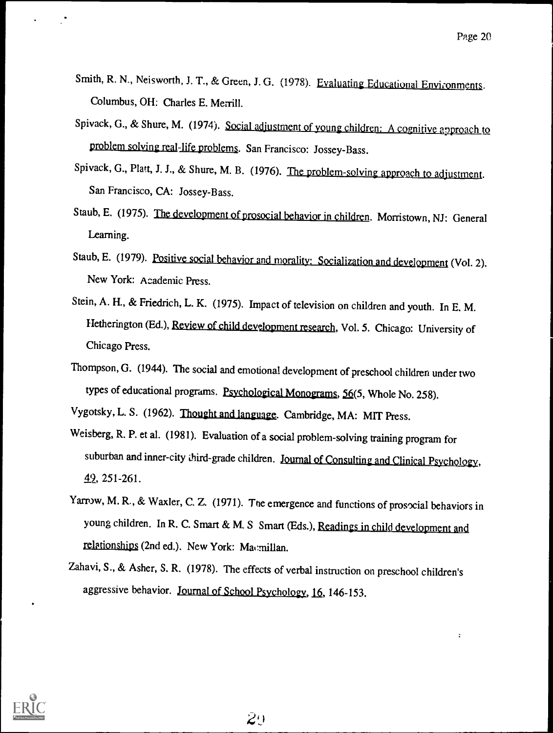$\ddot{\cdot}$ 

- Smith, R. N., Neisworth, J. T., & Green, J. G. (1978). Evaluating Educational Environments. Columbus, OH: Charles E Merrill.
- Spivack, G., & Shure, M. (1974). Social adjustment of young children: A cognitive approach to problem solving real-life problems. San Francisco: Jossey-Bass.
- Spivack, G., Platt, J. J., & Shure, M. B. (1976). The problem-solving approach to adjustment. San Francisco, CA: Jossey-Bass.
- Staub, E. (1975). The development of prosocial behavior in children. Morristown, NJ: General Learning.
- Staub, E. (1979). Positive social behavior and morality: Socialization and development (Vol. 2). New York: Academic Press.
- Stein, A. H., & Friedrich, L. K. (1975). Impact of television on children and youth. In E. M. Hetherington (Ed.), Review of child development research, Vol. 5. Chicago: University of Chicago Press.
- Thompson, G. (1944). The social and emotional development of preschool children under two types of educational programs. Psychological Monograms, 56(5, Whole No. 258).

Vygotsky, L. S. (1962). Thought and language. Cambridge, MA: MIT Press.

- Weisberg, R. P. et al. (1981). Evaluation of a social problem-solving training program for suburban and inner-city third-grade children. Journal of Consulting and Clinical Psychology, 49., 251-261.
- Yarrow, M. R., & Waxler, C. Z. (1971). The emergence and functions of prosocial behaviors in young children. In R. C. Smart & M. S Smart (Eds.), Readings in child development and relationships (2nd ed.). New York: Macmillan.
- Zahavi, S., & Asher, S. R. (1978). The effects of verbal instruction on preschool children's aggressive behavior. Journal of School Psychology, 16, 146-153.

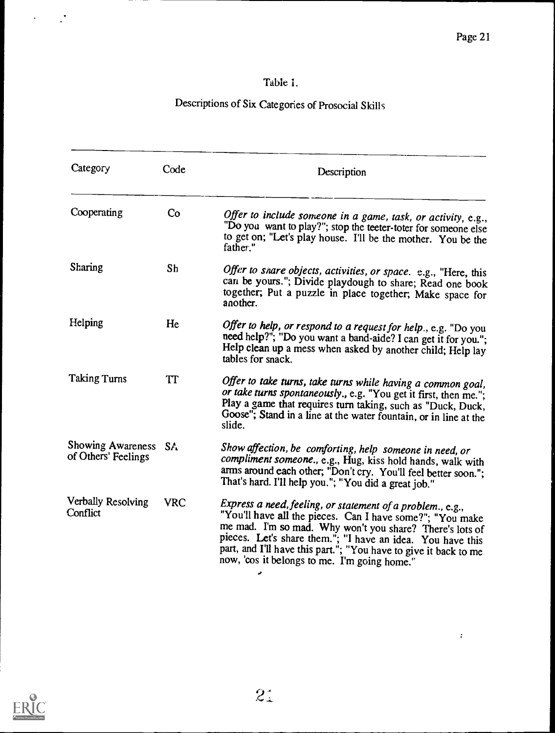$\pm$ 

### Table 1.

# Descriptions of Six Categories of Prosocial Skills

| Category                                    | Code       | Description                                                                                                                                                                                                                                                                                                                                                           |  |  |  |
|---------------------------------------------|------------|-----------------------------------------------------------------------------------------------------------------------------------------------------------------------------------------------------------------------------------------------------------------------------------------------------------------------------------------------------------------------|--|--|--|
| Cooperating                                 | Co         | Offer to include someone in a game, task, or activity, e.g.,<br>"Do you want to play?"; stop the teeter-toter for someone else<br>to get on; "Let's play house. I'll be the mother. You be the<br>father."                                                                                                                                                            |  |  |  |
| Sharing                                     | Sh         | Offer to share objects, activities, or space. e.g., "Here, this<br>can be yours."; Divide playdough to share; Read one book<br>together; Put a puzzle in place together; Make space for<br>another.                                                                                                                                                                   |  |  |  |
| Helping                                     | He         | Offer to help, or respond to a request for help., e.g. "Do you<br>need help?"; "Do you want a band-aide? I can get it for you.";<br>Help clean up a mess when asked by another child; Help lay<br>tables for snack.                                                                                                                                                   |  |  |  |
| <b>Taking Turns</b>                         | TT         | Offer to take turns, take turns while having a common goal,<br>or take turns spontaneously., e.g. "You get it first, then me.";<br>Play a game that requires turn taking, such as "Duck, Duck,<br>Goose"; Stand in a line at the water fountain, or in line at the<br>slide.                                                                                          |  |  |  |
| Showing Awareness SA<br>of Others' Feelings |            | Show affection, be comforting, help someone in need, or<br>compliment someone., e.g., Hug, kiss hold hands, walk with<br>arms around each other; "Don't cry. You'll feel better soon.";<br>That's hard. I'll help you."; "You did a great job."                                                                                                                       |  |  |  |
| Verbally Resolving<br>Conflict              | <b>VRC</b> | Express a need, feeling, or statement of a problem., e.g.,<br>"You'll have all the pieces. Can I have some?"; "You make<br>me mad. I'm so mad. Why won't you share? There's lots of<br>pieces. Let's share them."; "I have an idea. You have this<br>part, and I'll have this part."; "You have to give it back to me<br>now, 'cos it belongs to me. I'm going home." |  |  |  |



 $\mathcal{A}^{\text{max}}_{\text{max}}$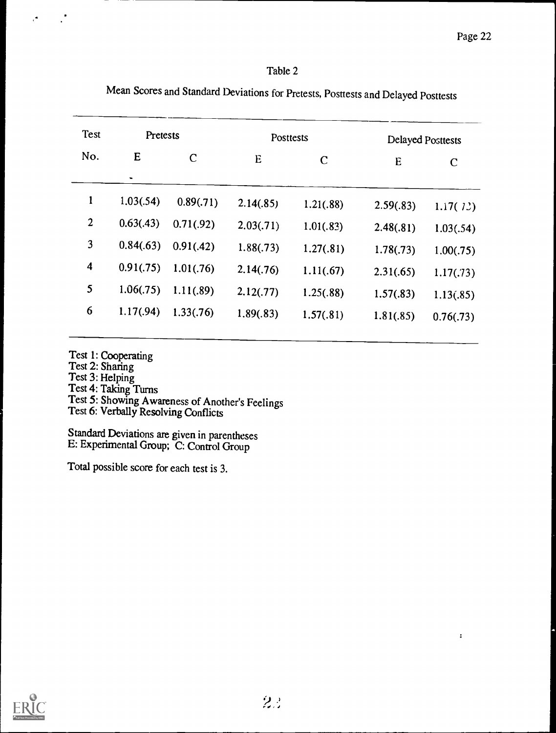$\ddot{\phantom{a}}$ 

#### Table 2

|                | Test<br>Pretests |             | <b>Posttests</b> |             | Delayed Posttests |             |
|----------------|------------------|-------------|------------------|-------------|-------------------|-------------|
| No.            | E                | $\mathbf C$ | E                | $\mathbf C$ | E                 | $\mathbf C$ |
|                | ۰                |             |                  |             |                   |             |
| 1              | 1.03(.54)        | 0.89(.71)   | 2.14(.85)        | 1.21(.88)   | 2.59(.83)         | 1.17(72)    |
| $\overline{2}$ | 0.63(.43)        | 0.71(0.92)  | 2.03(.71)        | 1.01(.83)   | 2.48(.81)         | 1.03(.54)   |
| 3              | 0.84(.63)        | 0.91(.42)   | 1.88(.73)        | 1.27(.81)   | 1.78(.73)         | 1.00(.75)   |
| 4              | 0.91(.75)        | 1.01(.76)   | 2.14(.76)        | 1.11(.67)   | 2.31(.65)         | 1.17(.73)   |
| 5              | 1.06(.75)        | 1.11(.89)   | 2.12(.77)        | 1.25(.88)   | 1.57(.83)         | 1.13(.85)   |
| 6              | 1.17(.94)        | 1.33(.76)   | 1.89(.83)        | 1.57(.81)   | 1.81(.85)         | 0.76(.73)   |

Mean Scores and Standard Deviations for Pretests, Posttests and Delayed Posttests

Test 1: Cooperating

Test 2: Sharing

 $\cdot$ 

 $\mathcal{A}$ 

Test 3: Helping

Test 4: Taking Turns

Test 5: Showing Awareness of Another's Feelings Test 6: Verbally Resolving Conflicts

Standard Deviations are given in parentheses E: Experimental Group; C: Control Group

Total possible score for each test is 3.